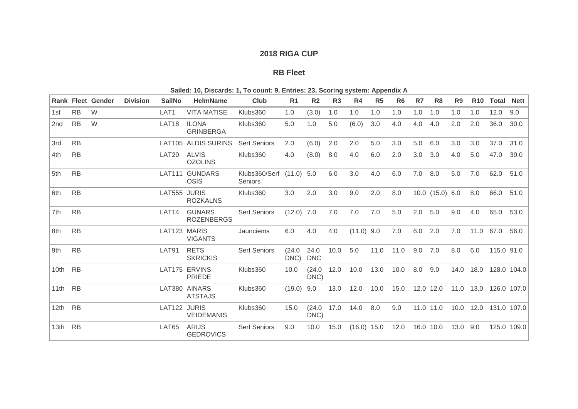## **2018 RIGA CUP**

## **RB Fleet**

|         |           | <b>Rank Fleet Gender</b> | <b>Division</b> | <b>SailNo</b>     | <b>HelmName</b>                    | Club                                       | R <sub>1</sub> | R <sub>2</sub>     | R3   | R4            | R <sub>5</sub> | R <sub>6</sub> | R7        | R <sub>8</sub>  | R <sub>9</sub> | <b>R10</b> | <b>Total Nett</b>     |             |
|---------|-----------|--------------------------|-----------------|-------------------|------------------------------------|--------------------------------------------|----------------|--------------------|------|---------------|----------------|----------------|-----------|-----------------|----------------|------------|-----------------------|-------------|
| 1st     | <b>RB</b> | W                        |                 | LAT <sub>1</sub>  | <b>VITA MATISE</b>                 | Klubs360                                   | 1.0            | (3.0)              | 1.0  | 1.0           | 1.0            | 1.0            | 1.0       | 1.0             | 1.0            | 1.0        | 12.0                  | 9.0         |
| 2nd     | <b>RB</b> | W                        |                 | LAT <sub>18</sub> | <b>ILONA</b><br><b>GRINBERGA</b>   | Klubs360                                   | 5.0            | 1.0                | 5.0  | (6.0)         | 3.0            | 4.0            | 4.0       | 4.0             | 2.0            | 2.0        | 36.0                  | 30.0        |
| 3rd     | <b>RB</b> |                          |                 |                   | LAT105 ALDIS SURINS                | <b>Serf Seniors</b>                        | 2.0            | (6.0)              | 2.0  | 2.0           | 5.0            | 3.0            | 5.0       | 6.0             | 3.0            | 3.0        | 37.0                  | 31.0        |
| 4th     | <b>RB</b> |                          |                 | LAT <sub>20</sub> | <b>ALVIS</b><br><b>OZOLINS</b>     | Klubs360                                   | 4.0            | (8.0)              | 8.0  | 4.0           | 6.0            | 2.0            | 3.0       | 3.0             | 4.0            | 5.0        | 47.0                  | 39.0        |
| 5th     | <b>RB</b> |                          |                 |                   | LAT111 GUNDARS<br><b>OSIS</b>      | Klubs360/Serf (11.0) 5.0<br><b>Seniors</b> |                |                    | 6.0  | 3.0           | 4.0            | 6.0            | 7.0       | 8.0             | 5.0            | 7.0        | 62.0                  | 51.0        |
| 6th     | <b>RB</b> |                          |                 | LAT555 JURIS      | <b>ROZKALNS</b>                    | Klubs360                                   | 3.0            | 2.0                | 3.0  | 9.0           | 2.0            | 8.0            |           | 10.0 (15.0) 6.0 |                | 8.0        | 66.0                  | 51.0        |
| 7th     | <b>RB</b> |                          |                 | LAT14             | <b>GUNARS</b><br><b>ROZENBERGS</b> | <b>Serf Seniors</b>                        | $(12.0)$ 7.0   |                    | 7.0  | 7.0           | 7.0            | 5.0            | 2.0       | 5.0             | 9.0            | 4.0        | 65.0                  | 53.0        |
| 8th     | <b>RB</b> |                          |                 | LAT123 MARIS      | <b>VIGANTS</b>                     | Jaunciems                                  | 6.0            | 4.0                | 4.0  | $(11.0)$ 9.0  |                | 7.0            | 6.0       | 2.0             | 7.0            | 11.0       | 67.0                  | 56.0        |
| 9th     | <b>RB</b> |                          |                 | LAT91             | <b>RETS</b><br><b>SKRICKIS</b>     | <b>Serf Seniors</b>                        | (24.0)<br>DNC) | 24.0<br><b>DNC</b> | 10.0 | 5.0           | 11.0           | 11.0           | 9.0       | 7.0             | 8.0            | 6.0        | 115.0 91.0            |             |
| 10th RB |           |                          |                 |                   | LAT175 ERVINS<br>PRIEDE            | Klubs360                                   | 10.0           | (24.0)<br>DNC)     | 12.0 | 10.0          | 13.0           | 10.0           | 8.0       | 9.0             |                | 14.0 18.0  |                       | 128.0 104.0 |
| 11th RB |           |                          |                 |                   | LAT380 AINARS<br><b>ATSTAJS</b>    | Klubs360                                   | $(19.0)$ 9.0   |                    | 13.0 | 12.0          | 10.0           | 15.0           | 12.0 12.0 |                 |                |            | 11.0 13.0 126.0 107.0 |             |
| 12th RB |           |                          |                 | LAT122 JURIS      | <b>VEIDEMANIS</b>                  | Klubs360                                   | 15.0           | (24.0)<br>DNC)     | 17.0 | 14.0          | 8.0            | 9.0            |           | 11.0 11.0       |                |            | 10.0 12.0 131.0 107.0 |             |
| 13th RB |           |                          |                 | LAT65             | ARIJS<br><b>GEDROVICS</b>          | <b>Serf Seniors</b>                        | 9.0            | 10.0               | 15.0 | $(16.0)$ 15.0 |                | 12.0           | 16.0 10.0 |                 | 13.0 9.0       |            |                       | 125.0 109.0 |

**Sailed: 10, Discards: 1, To count: 9, Entries: 23, Scoring system: Appendix A**